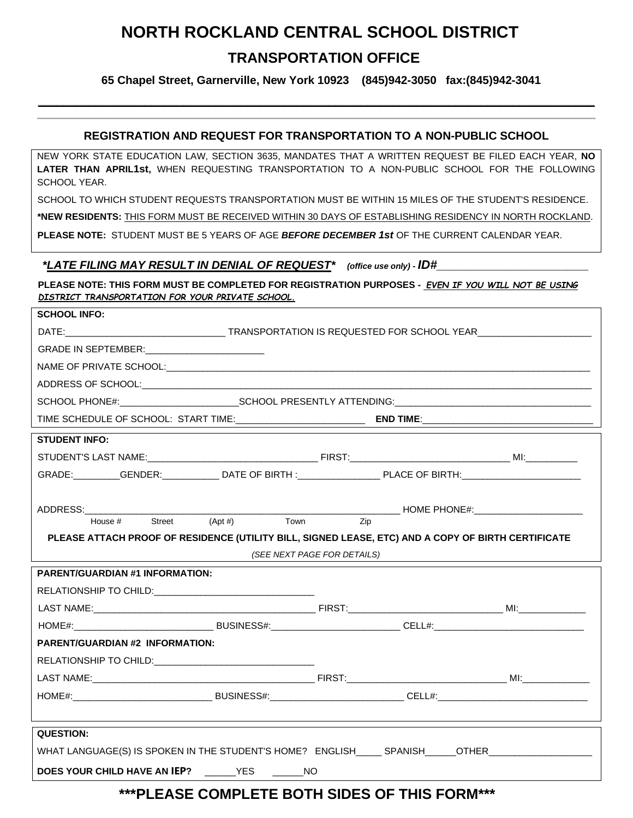# **NORTH ROCKLAND CENTRAL SCHOOL DISTRICT TRANSPORTATION OFFICE**

 **65 Chapel Street, Garnerville, New York 10923 (845)942-3050 fax:(845)942-3041**

#### **REGISTRATION AND REQUEST FOR TRANSPORTATION TO A NON-PUBLIC SCHOOL**

**\_\_\_\_\_\_\_\_\_\_\_\_\_\_\_\_\_\_\_\_\_\_\_\_\_\_\_\_\_\_\_\_\_\_\_\_\_\_\_\_\_\_\_\_\_\_\_\_\_\_\_\_\_\_\_\_\_\_\_\_\_\_\_\_\_\_\_\_\_\_\_\_\_\_\_\_\_\_\_\_\_\_\_\_\_\_\_\_**

NEW YORK STATE EDUCATION LAW, SECTION 3635, MANDATES THAT A WRITTEN REQUEST BE FILED EACH YEAR, **NO LATER THAN APRIL1st,** WHEN REQUESTING TRANSPORTATION TO A NON-PUBLIC SCHOOL FOR THE FOLLOWING SCHOOL YEAR.

SCHOOL TO WHICH STUDENT REQUESTS TRANSPORTATION MUST BE WITHIN 15 MILES OF THE STUDENT'S RESIDENCE.

**\*NEW RESIDENTS:** THIS FORM MUST BE RECEIVED WITHIN 30 DAYS OF ESTABLISHING RESIDENCY IN NORTH ROCKLAND.

**PLEASE NOTE:** STUDENT MUST BE 5 YEARS OF AGE *BEFORE DECEMBER 1st* OF THE CURRENT CALENDAR YEAR.

#### *\*LATE FILING MAY RESULT IN DENIAL OF REQUEST\* (office use only) - ID#\_\_\_\_\_\_\_\_\_\_\_\_\_\_\_\_\_\_\_\_\_\_*

**SCHOOL INFO:**

**PLEASE NOTE: THIS FORM MUST BE COMPLETED FOR REGISTRATION PURPOSES -** *EVEN IF YOU WILL NOT BE USING DISTRICT TRANSPORTATION FOR YOUR PRIVATE SCHOOL.*

| JUNUUL IINFU.                                                                                        |  |                             |  |  |
|------------------------------------------------------------------------------------------------------|--|-----------------------------|--|--|
|                                                                                                      |  |                             |  |  |
|                                                                                                      |  |                             |  |  |
|                                                                                                      |  |                             |  |  |
|                                                                                                      |  |                             |  |  |
|                                                                                                      |  |                             |  |  |
|                                                                                                      |  |                             |  |  |
| <b>STUDENT INFO:</b>                                                                                 |  |                             |  |  |
|                                                                                                      |  |                             |  |  |
| GRADE: GENDER: DATE OF BIRTH : PLACE OF BIRTH:                                                       |  |                             |  |  |
|                                                                                                      |  |                             |  |  |
|                                                                                                      |  |                             |  |  |
|                                                                                                      |  |                             |  |  |
| PLEASE ATTACH PROOF OF RESIDENCE (UTILITY BILL, SIGNED LEASE, ETC) AND A COPY OF BIRTH CERTIFICATE   |  |                             |  |  |
|                                                                                                      |  | (SEE NEXT PAGE FOR DETAILS) |  |  |
| <b>PARENT/GUARDIAN #1 INFORMATION:</b>                                                               |  |                             |  |  |
|                                                                                                      |  |                             |  |  |
|                                                                                                      |  |                             |  |  |
|                                                                                                      |  |                             |  |  |
| <b>PARENT/GUARDIAN #2 INFORMATION:</b>                                                               |  |                             |  |  |
|                                                                                                      |  |                             |  |  |
|                                                                                                      |  |                             |  |  |
|                                                                                                      |  |                             |  |  |
|                                                                                                      |  |                             |  |  |
| <b>QUESTION:</b>                                                                                     |  |                             |  |  |
| WHAT LANGUAGE(S) IS SPOKEN IN THE STUDENT'S HOME? ENGLISH______ SPANISH______OTHER__________________ |  |                             |  |  |
| DOES YOUR CHILD HAVE AN IEP? _____YES _____NO                                                        |  |                             |  |  |
| ***PLEASE COMPLETE BOTH SIDES OF THIS FORM***                                                        |  |                             |  |  |